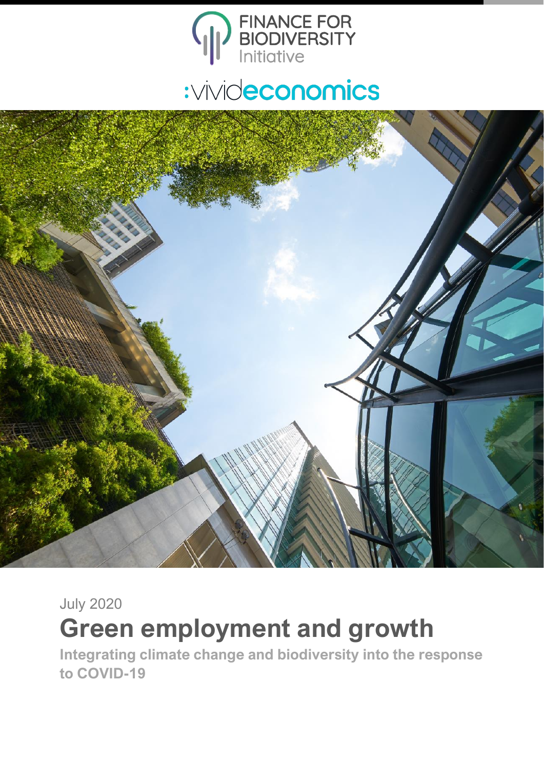



July 2020

# **Green employment and growth**

**Integrating climate change and biodiversity into the response to COVID-19**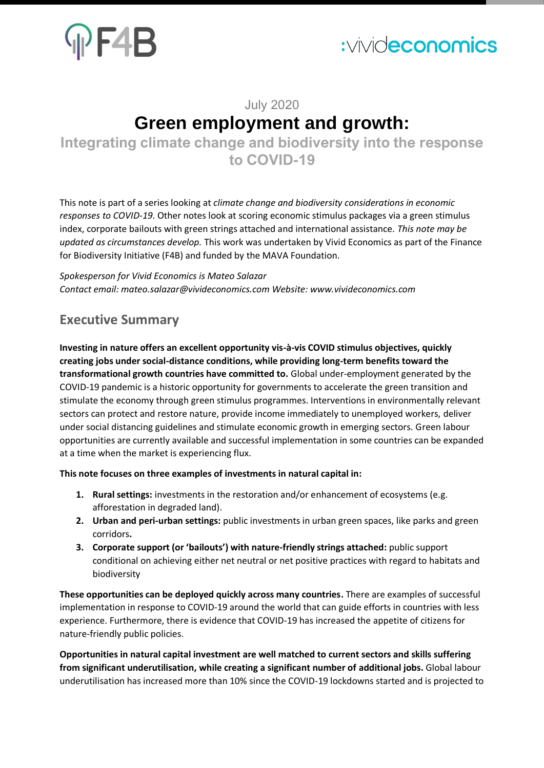

## July 2020 **Green employment and growth:**

**Integrating climate change and biodiversity into the response to COVID-19**

This note is part of a series looking at *climate change and biodiversity considerations in economic responses to COVID-19*. Other notes look at scoring economic stimulus packages via a green stimulus index, corporate bailouts with green strings attached and international assistance. *This note may be updated as circumstances develop.* This work was undertaken by Vivid Economics as part of the Finance for Biodiversity Initiative (F4B) and funded by the MAVA Foundation.

*Spokesperson for Vivid Economics is Mateo Salazar Contact email[: mateo.salazar@vivideconomics.com](mailto:mateo.salazar@vivideconomics.com) Website[: www.vivideconomics.com](http://www.vivideconomics.com/)*

### **Executive Summary**

**Investing in nature offers an excellent opportunity vis-à-vis COVID stimulus objectives, quickly creating jobs under social-distance conditions, while providing long-term benefits toward the transformational growth countries have committed to.** Global under-employment generated by the COVID-19 pandemic is a historic opportunity for governments to accelerate the green transition and stimulate the economy through green stimulus programmes. Interventions in environmentally relevant sectors can protect and restore nature, provide income immediately to unemployed workers, deliver under social distancing guidelines and stimulate economic growth in emerging sectors. Green labour opportunities are currently available and successful implementation in some countries can be expanded at a time when the market is experiencing flux.

**This note focuses on three examples of investments in natural capital in:**

- **1. Rural settings:** investments in the restoration and/or enhancement of ecosystems (e.g. afforestation in degraded land).
- **2. Urban and peri-urban settings:** public investments in urban green spaces, like parks and green corridors**.**
- **3. Corporate support (or 'bailouts') with nature-friendly strings attached:** public support conditional on achieving either net neutral or net positive practices with regard to habitats and biodiversity

**These opportunities can be deployed quickly across many countries.** There are examples of successful implementation in response to COVID-19 around the world that can guide efforts in countries with less experience. Furthermore, there is evidence that COVID-19 has increased the appetite of citizens for nature-friendly public policies.

**Opportunities in natural capital investment are well matched to current sectors and skills suffering from significant underutilisation, while creating a significant number of additional jobs.** Global labour underutilisation has increased more than 10% since the COVID-19 lockdowns started and is projected to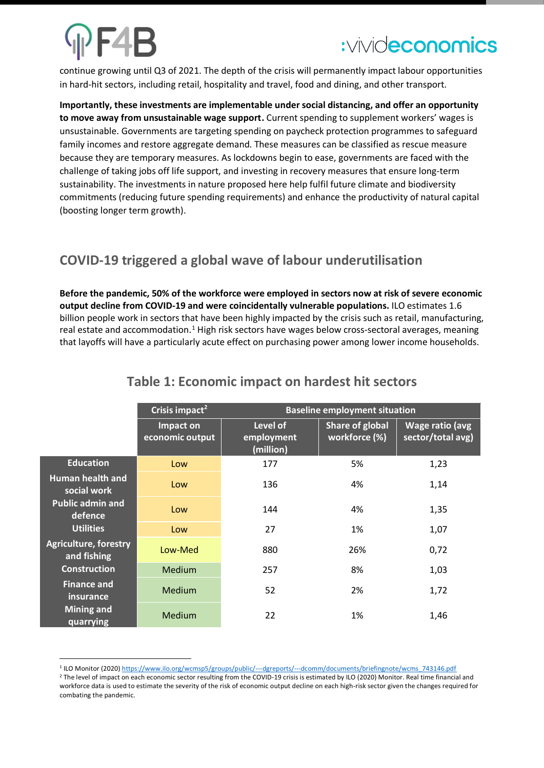continue growing until Q3 of 2021. The depth of the crisis will permanently impact labour opportunities in hard-hit sectors, including retail, hospitality and travel, food and dining, and other transport.

**Importantly, these investments are implementable under social distancing, and offer an opportunity to move away from unsustainable wage support.** Current spending to supplement workers' wages is unsustainable. Governments are targeting spending on paycheck protection programmes to safeguard family incomes and restore aggregate demand. These measures can be classified as rescue measure because they are temporary measures. As lockdowns begin to ease, governments are faced with the challenge of taking jobs off life support, and investing in recovery measures that ensure long-term sustainability. The investments in nature proposed here help fulfil future climate and biodiversity commitments (reducing future spending requirements) and enhance the productivity of natural capital (boosting longer term growth).

### **COVID-19 triggered a global wave of labour underutilisation**

**Before the pandemic, 50% of the workforce were employed in sectors now at risk of severe economic output decline from COVID-19 and were coincidentally vulnerable populations.** ILO estimates 1.6 billion people work in sectors that have been highly impacted by the crisis such as retail, manufacturing, real estate and accommodation.<sup>1</sup> High risk sectors have wages below cross-sectoral averages, meaning that layoffs will have a particularly acute effect on purchasing power among lower income households.

|                                                        | Crisis impact <sup>2</sup>   | <b>Baseline employment situation</b> |                                  |                                      |  |  |
|--------------------------------------------------------|------------------------------|--------------------------------------|----------------------------------|--------------------------------------|--|--|
|                                                        | Impact on<br>economic output | Level of<br>employment<br>(million)  | Share of global<br>workforce (%) | Wage ratio (avg<br>sector/total avg) |  |  |
| <b>Education</b>                                       | Low                          | 177                                  | 5%                               | 1,23                                 |  |  |
| Human health and<br>social work                        | Low                          | 136                                  | 4%                               | 1,14                                 |  |  |
| <b>Public admin and</b><br>defence<br><b>Utilities</b> | Low                          | 144                                  | 4%                               | 1,35                                 |  |  |
|                                                        | Low                          | 27                                   | 1%                               | 1,07                                 |  |  |
| <b>Agriculture, forestry</b><br>and fishing            | Low-Med                      | 880                                  | 26%                              | 0,72                                 |  |  |
| <b>Construction</b>                                    | Medium                       | 257                                  | 8%                               | 1,03                                 |  |  |
| <b>Finance and</b><br>insurance                        | Medium                       | 52                                   | 2%                               | 1,72                                 |  |  |
| <b>Mining and</b><br>quarrying                         | Medium                       | 22                                   | 1%                               | 1,46                                 |  |  |

### **Table 1: Economic impact on hardest hit sectors**

<sup>2</sup> The level of impact on each economic sector resulting from the COVID-19 crisis is estimated by ILO (2020) Monitor. Real time financial and workforce data is used to estimate the severity of the risk of economic output decline on each high-risk sector given the changes required for combating the pandemic.

<sup>&</sup>lt;sup>1</sup> ILO Monitor (2020[\) https://www.ilo.org/wcmsp5/groups/public/---dgreports/---dcomm/documents/briefingnote/wcms\\_743146.pdf](https://www.ilo.org/wcmsp5/groups/public/---dgreports/---dcomm/documents/briefingnote/wcms_743146.pdf)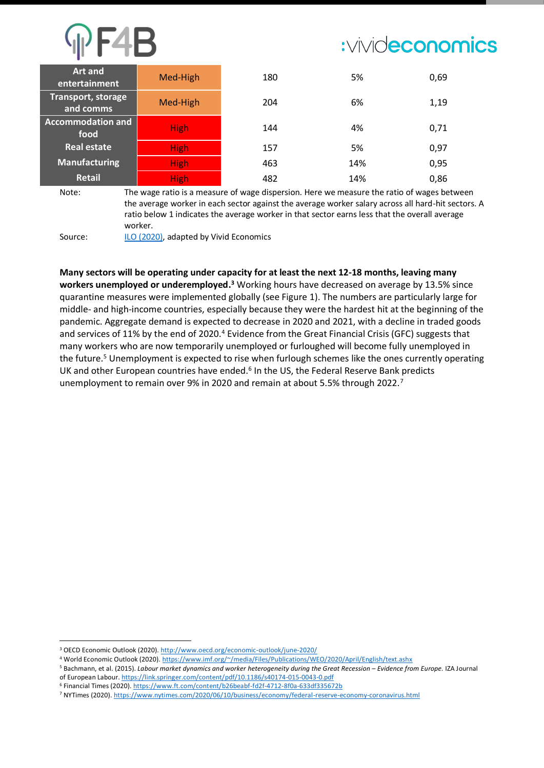| <b>Art and</b><br>entertainment  | Med-High    | 180 | 5%  | 0,69 |
|----------------------------------|-------------|-----|-----|------|
| Transport, storage<br>and comms  | Med-High    | 204 | 6%  | 1,19 |
| <b>Accommodation and</b><br>food | <b>High</b> | 144 | 4%  | 0,71 |
| Real estate                      | <b>High</b> | 157 | 5%  | 0,97 |
| <b>Manufacturing</b>             | <b>High</b> | 463 | 14% | 0,95 |
| <b>Retail</b>                    | <b>High</b> | 482 | 14% | 0,86 |

Note: The wage ratio is a measure of wage dispersion. Here we measure the ratio of wages between the average worker in each sector against the average worker salary across all hard-hit sectors. A ratio below 1 indicates the average worker in that sector earns less that the overall average worker.

Source: [ILO \(2020\),](https://www.ilo.org/wcmsp5/groups/public/---dgreports/---dcomm/documents/briefingnote/wcms_743146.pdf) adapted by Vivid Economics

**Many sectors will be operating under capacity for at least the next 12-18 months, leaving many**  workers unemployed or underemployed.<sup>3</sup> Working hours have decreased on average by 13.5% since quarantine measures were implemented globally (see Figure 1). The numbers are particularly large for middle- and high-income countries, especially because they were the hardest hit at the beginning of the pandemic. Aggregate demand is expected to decrease in 2020 and 2021, with a decline in traded goods and services of 11% by the end of 2020.<sup>4</sup> Evidence from the Great Financial Crisis (GFC) suggests that many workers who are now temporarily unemployed or furloughed will become fully unemployed in the future.<sup>5</sup> Unemployment is expected to rise when furlough schemes like the ones currently operating UK and other European countries have ended.<sup>6</sup> In the US, the Federal Reserve Bank predicts unemployment to remain over 9% in 2020 and remain at about 5.5% through 2022.<sup>7</sup>

<sup>3</sup> OECD Economic Outlook (2020).<http://www.oecd.org/economic-outlook/june-2020/>

<sup>4</sup> World Economic Outlook (2020)[. https://www.imf.org/~/media/Files/Publications/WEO/2020/April/English/text.ashx](https://www.imf.org/~/media/Files/Publications/WEO/2020/April/English/text.ashx)

<sup>5</sup> Bachmann, et al. (2015). *Labour market dynamics and worker heterogeneity during the Great Recession – Evidence from Europe.* IZA Journal of European Labour[. https://link.springer.com/content/pdf/10.1186/s40174-015-0043-0.pdf](https://link.springer.com/content/pdf/10.1186/s40174-015-0043-0.pdf)

<sup>6</sup> Financial Times (2020)[. https://www.ft.com/content/b26beabf-fd2f-4712-8f0a-633df335672b](https://www.ft.com/content/b26beabf-fd2f-4712-8f0a-633df335672b)

<sup>7</sup> NYTimes (2020)[. https://www.nytimes.com/2020/06/10/business/economy/federal-reserve-economy-coronavirus.html](https://www.nytimes.com/2020/06/10/business/economy/federal-reserve-economy-coronavirus.html)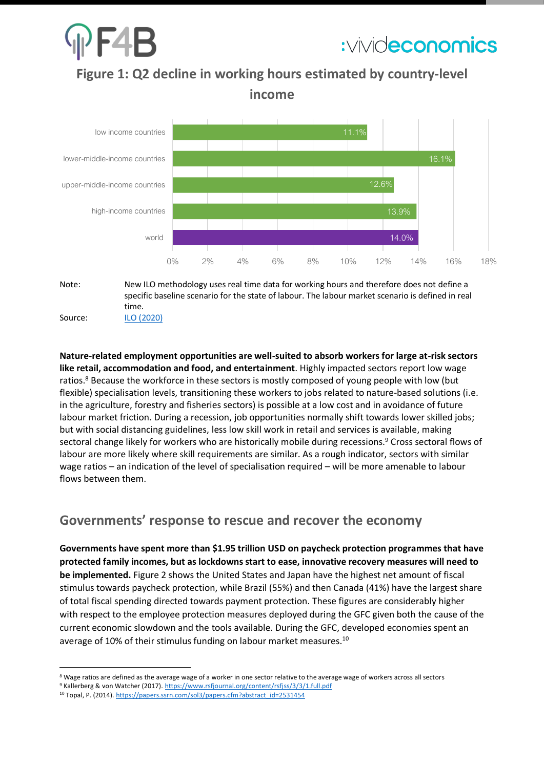

**Figure 1: Q2 decline in working hours estimated by country-level income**



### specific baseline scenario for the state of labour. The labour market scenario is defined in real time. Source: [ILO \(2020\)](https://www.ilo.org/wcmsp5/groups/public/---dgreports/---dcomm/documents/briefingnote/wcms_749399.pdf)

**Nature-related employment opportunities are well-suited to absorb workers for large at-risk sectors like retail, accommodation and food, and entertainment**. Highly impacted sectors report low wage ratios.<sup>8</sup> Because the workforce in these sectors is mostly composed of young people with low (but flexible) specialisation levels, transitioning these workers to jobs related to nature-based solutions (i.e. in the agriculture, forestry and fisheries sectors) is possible at a low cost and in avoidance of future labour market friction. During a recession, job opportunities normally shift towards lower skilled jobs; but with social distancing guidelines, less low skill work in retail and services is available, making sectoral change likely for workers who are historically mobile during recessions.<sup>9</sup> Cross sectoral flows of labour are more likely where skill requirements are similar. As a rough indicator, sectors with similar wage ratios – an indication of the level of specialisation required – will be more amenable to labour flows between them.

### **Governments' response to rescue and recover the economy**

**Governments have spent more than \$1.95 trillion USD on paycheck protection programmes that have protected family incomes, but as lockdowns start to ease, innovative recovery measures will need to be implemented.** Figure 2 shows the United States and Japan have the highest net amount of fiscal stimulus towards paycheck protection, while Brazil (55%) and then Canada (41%) have the largest share of total fiscal spending directed towards payment protection. These figures are considerably higher with respect to the employee protection measures deployed during the GFC given both the cause of the current economic slowdown and the tools available. During the GFC, developed economies spent an average of 10% of their stimulus funding on labour market measures.<sup>10</sup>

<sup>8</sup> Wage ratios are defined as the average wage of a worker in one sector relative to the average wage of workers across all sectors

<sup>9</sup> Kallerberg & von Watcher (2017)[. https://www.rsfjournal.org/content/rsfjss/3/3/1.full.pdf](https://www.rsfjournal.org/content/rsfjss/3/3/1.full.pdf)

<sup>&</sup>lt;sup>10</sup> Topal, P. (2014)[. https://papers.ssrn.com/sol3/papers.cfm?abstract\\_id=2531454](https://papers.ssrn.com/sol3/papers.cfm?abstract_id=2531454)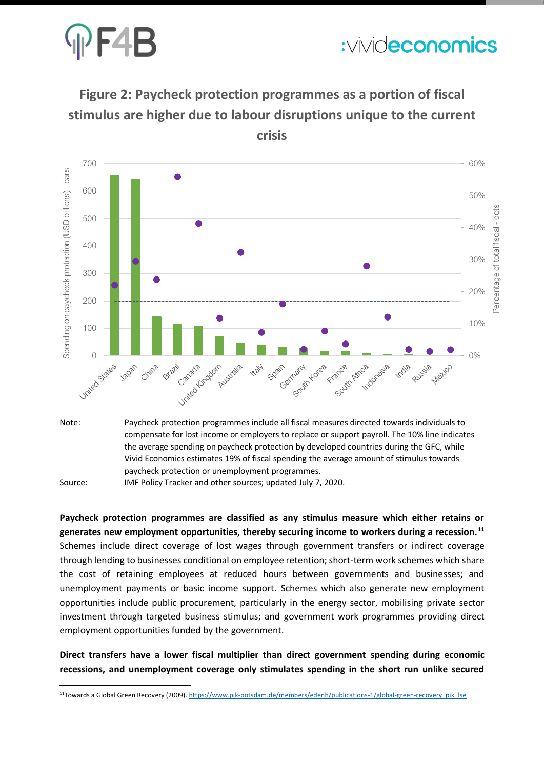

## **Figure 2: Paycheck protection programmes as a portion of fiscal stimulus are higher due to labour disruptions unique to the current**

**crisis**



compensate for lost income or employers to replace or support payroll. The 10% line indicates the average spending on paycheck protection by developed countries during the GFC, while Vivid Economics estimates 19% of fiscal spending the average amount of stimulus towards paycheck protection or unemployment programmes.

Source: IMF Policy Tracker and other sources; updated July 7, 2020.

**Paycheck protection programmes are classified as any stimulus measure which either retains or generates new employment opportunities, thereby securing income to workers during a recession.<sup>11</sup>** Schemes include direct coverage of lost wages through government transfers or indirect coverage through lending to businesses conditional on employee retention; short-term work schemes which share the cost of retaining employees at reduced hours between governments and businesses; and unemployment payments or basic income support. Schemes which also generate new employment opportunities include public procurement, particularly in the energy sector, mobilising private sector investment through targeted business stimulus; and government work programmes providing direct employment opportunities funded by the government.

**Direct transfers have a lower fiscal multiplier than direct government spending during economic recessions, and unemployment coverage only stimulates spending in the short run unlike secured** 

<sup>11</sup>Towards a Global Green Recovery (2009)[. https://www.pik-potsdam.de/members/edenh/publications-1/global-green-recovery\\_pik\\_lse](https://www.pik-potsdam.de/members/edenh/publications-1/global-green-recovery_pik_lse)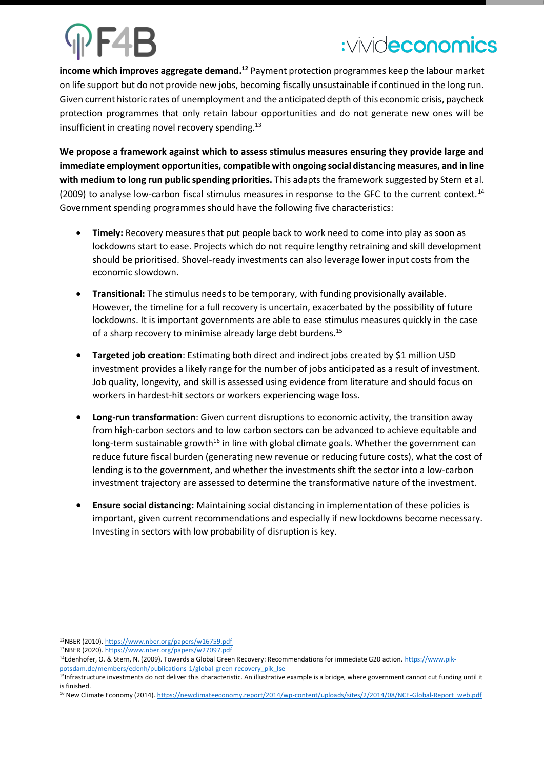**income which improves aggregate demand. <sup>12</sup>** Payment protection programmes keep the labour market on life support but do not provide new jobs, becoming fiscally unsustainable if continued in the long run. Given current historic rates of unemployment and the anticipated depth of this economic crisis, paycheck protection programmes that only retain labour opportunities and do not generate new ones will be insufficient in creating novel recovery spending. $^{13}$ 

**We propose a framework against which to assess stimulus measures ensuring they provide large and immediate employment opportunities, compatible with ongoing social distancing measures, and in line with medium to long run public spending priorities.** This adapts the framework suggested by Stern et al. (2009) to analyse low-carbon fiscal stimulus measures in response to the GFC to the current context.<sup>14</sup> Government spending programmes should have the following five characteristics:

- **Timely:** Recovery measures that put people back to work need to come into play as soon as lockdowns start to ease. Projects which do not require lengthy retraining and skill development should be prioritised. Shovel-ready investments can also leverage lower input costs from the economic slowdown.
- **Transitional:** The stimulus needs to be temporary, with funding provisionally available. However, the timeline for a full recovery is uncertain, exacerbated by the possibility of future lockdowns. It is important governments are able to ease stimulus measures quickly in the case of a sharp recovery to minimise already large debt burdens.<sup>15</sup>
- **Targeted job creation**: Estimating both direct and indirect jobs created by \$1 million USD investment provides a likely range for the number of jobs anticipated as a result of investment. Job quality, longevity, and skill is assessed using evidence from literature and should focus on workers in hardest-hit sectors or workers experiencing wage loss.
- **Long-run transformation**: Given current disruptions to economic activity, the transition away from high-carbon sectors and to low carbon sectors can be advanced to achieve equitable and long-term sustainable growth<sup>16</sup> in line with global climate goals. Whether the government can reduce future fiscal burden (generating new revenue or reducing future costs), what the cost of lending is to the government, and whether the investments shift the sector into a low-carbon investment trajectory are assessed to determine the transformative nature of the investment.
- **Ensure social distancing:** Maintaining social distancing in implementation of these policies is important, given current recommendations and especially if new lockdowns become necessary. Investing in sectors with low probability of disruption is key.

<sup>12</sup>NBER (2010)[. https://www.nber.org/papers/w16759.pdf](https://www.nber.org/papers/w16759.pdf)

<sup>13</sup>NBER (2020)[. https://www.nber.org/papers/w27097.pdf](https://www.nber.org/papers/w27097.pdf)

<sup>&</sup>lt;sup>14</sup>Edenhofer, O. & Stern, N. (2009). Towards a Global Green Recovery: Recommendations for immediate G20 action. [https://www.pik](https://www.pik-potsdam.de/members/edenh/publications-1/global-green-recovery_pik_lse)[potsdam.de/members/edenh/publications-1/global-green-recovery\\_pik\\_lse](https://www.pik-potsdam.de/members/edenh/publications-1/global-green-recovery_pik_lse)

<sup>&</sup>lt;sup>15</sup>Infrastructure investments do not deliver this characteristic. An illustrative example is a bridge, where government cannot cut funding until it is finished.

<sup>16</sup> New Climate Economy (2014)[. https://newclimateeconomy.report/2014/wp-content/uploads/sites/2/2014/08/NCE-Global-Report\\_web.pdf](https://newclimateeconomy.report/2014/wp-content/uploads/sites/2/2014/08/NCE-Global-Report_web.pdf)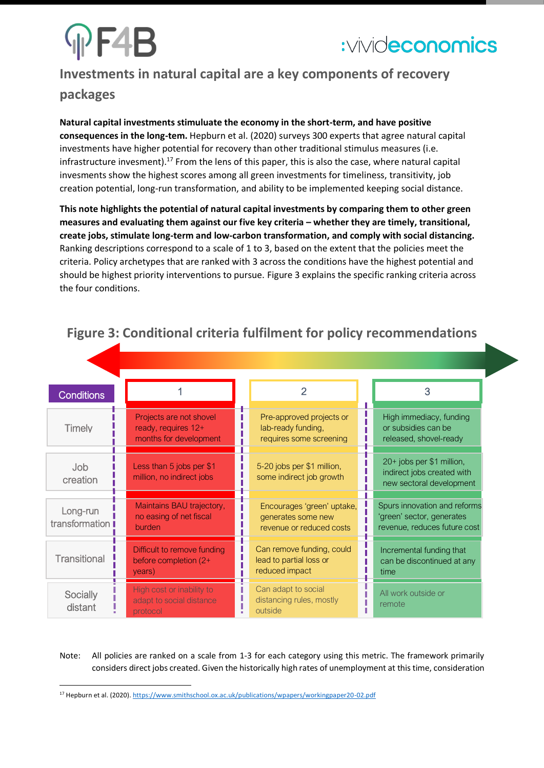# PF4B



## **Investments in natural capital are a key components of recovery**

### **packages**

**Natural capital investments stimuluate the economy in the short-term, and have positive consequences in the long-tem.** Hepburn et al. (2020) surveys 300 experts that agree natural capital investments have higher potential for recovery than other traditional stimulus measures (i.e. infrastructure invesment).<sup>17</sup> From the lens of this paper, this is also the case, where natural capital invesments show the highest scores among all green investments for timeliness, transitivity, job creation potential, long-run transformation, and ability to be implemented keeping social distance.

**This note highlights the potential of natural capital investments by comparing them to other green measures and evaluating them against our five key criteria – whether they are timely, transitional, create jobs, stimulate long-term and low-carbon transformation, and comply with social distancing.**  Ranking descriptions correspond to a scale of 1 to 3, based on the extent that the policies meet the criteria. Policy archetypes that are ranked with 3 across the conditions have the highest potential and should be highest priority interventions to pursue. Figure 3 explains the specific ranking criteria across the four conditions.

| <b>Conditions</b>          |                                                                          | $\overline{2}$                                                               | 3                                                                                         |
|----------------------------|--------------------------------------------------------------------------|------------------------------------------------------------------------------|-------------------------------------------------------------------------------------------|
| <b>Timely</b>              | Projects are not shovel<br>ready, requires 12+<br>months for development | Pre-approved projects or<br>lab-ready funding,<br>requires some screening    | High immediacy, funding<br>or subsidies can be<br>released, shovel-ready                  |
| <b>Job</b><br>creation     | Less than 5 jobs per \$1<br>million, no indirect jobs                    | 5-20 jobs per \$1 million,<br>some indirect job growth                       | 20+ jobs per \$1 million,<br>indirect jobs created with<br>new sectoral development       |
| Long-run<br>transformation | Maintains BAU trajectory,<br>no easing of net fiscal<br>burden           | Encourages 'green' uptake,<br>generates some new<br>revenue or reduced costs | Spurs innovation and reforms<br>'green' sector, generates<br>revenue, reduces future cost |
| Transitional               | Difficult to remove funding<br>before completion (2+<br>years)           | Can remove funding, could<br>lead to partial loss or<br>reduced impact       | Incremental funding that<br>can be discontinued at any<br>time                            |
| Socially<br>distant        | High cost or inability to<br>adapt to social distance<br>protocol        | Can adapt to social<br>distancing rules, mostly<br>outside                   | All work outside or<br>remote                                                             |

## **Figure 3: Conditional criteria fulfilment for policy recommendations**

Note: All policies are ranked on a scale from 1-3 for each category using this metric. The framework primarily considers direct jobs created. Given the historically high rates of unemployment at this time, consideration

<sup>&</sup>lt;sup>17</sup> Hepburn et al. (2020)[. https://www.smithschool.ox.ac.uk/publications/wpapers/workingpaper20-02.pdf](https://www.smithschool.ox.ac.uk/publications/wpapers/workingpaper20-02.pdf)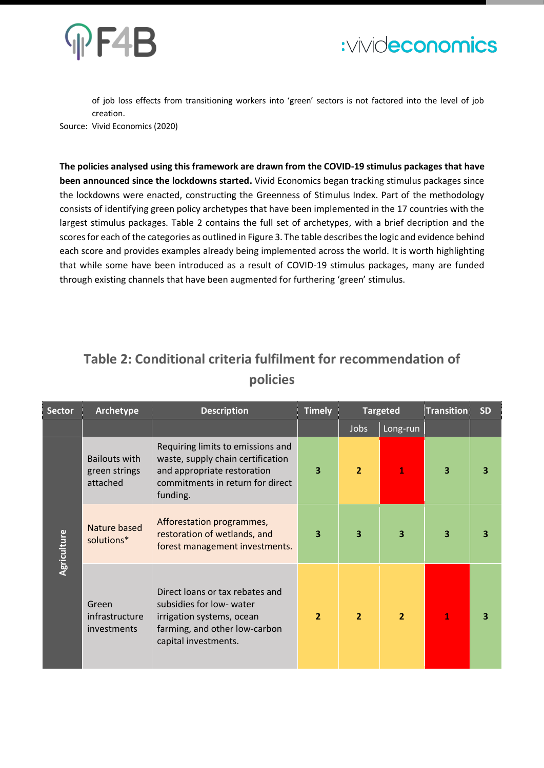



of job loss effects from transitioning workers into 'green' sectors is not factored into the level of job creation.

Source: Vivid Economics (2020)

**The policies analysed using this framework are drawn from the COVID-19 stimulus packages that have been announced since the lockdowns started.** Vivid Economics began tracking stimulus packages since the lockdowns were enacted, constructing the Greenness of Stimulus Index. Part of the methodology consists of identifying green policy archetypes that have been implemented in the 17 countries with the largest stimulus packages. Table 2 contains the full set of archetypes, with a brief decription and the scores for each of the categories as outlined in Figure 3. The table describes the logic and evidence behind each score and provides examples already being implemented across the world. It is worth highlighting that while some have been introduced as a result of COVID-19 stimulus packages, many are funded through existing channels that have been augmented for furthering 'green' stimulus.

## **Table 2: Conditional criteria fulfilment for recommendation of policies**

| <b>Sector</b> | Archetype                                         | <b>Description</b>                                                                                                                                    | <b>Timely</b>           |                | <b>Targeted</b> | <b>Transition</b> | <b>SD</b> |
|---------------|---------------------------------------------------|-------------------------------------------------------------------------------------------------------------------------------------------------------|-------------------------|----------------|-----------------|-------------------|-----------|
|               |                                                   |                                                                                                                                                       |                         | Jobs           | Long-run        |                   |           |
|               | <b>Bailouts with</b><br>green strings<br>attached | Requiring limits to emissions and<br>waste, supply chain certification<br>and appropriate restoration<br>commitments in return for direct<br>funding. | 3                       | $\overline{2}$ | 1               | 3                 | 3         |
| Agriculture   | Nature based<br>solutions*                        | Afforestation programmes,<br>restoration of wetlands, and<br>forest management investments.                                                           | $\overline{\mathbf{3}}$ | 3              | 3               | 3                 | 3         |
|               | Green<br>infrastructure<br><i>investments</i>     | Direct loans or tax rebates and<br>subsidies for low- water<br>irrigation systems, ocean<br>farming, and other low-carbon<br>capital investments.     | $\overline{2}$          | $\overline{2}$ | $\overline{2}$  | 1                 | 3         |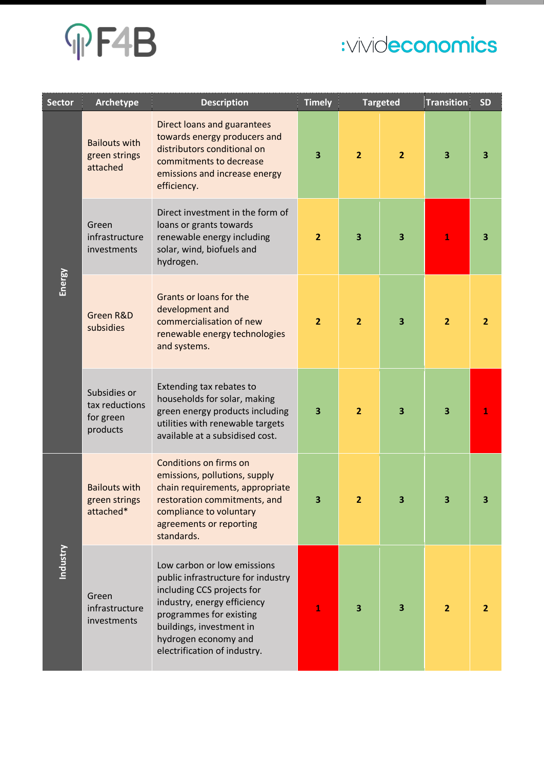# **MF4B**

# :vivideconomics

| <b>Sector</b> | Archetype                                               | <b>Description</b>                                                                                                                                                                                                                            | <b>Timely</b>           |                         | <b>Targeted</b> | <b>Transition</b> | <b>SD</b>      |
|---------------|---------------------------------------------------------|-----------------------------------------------------------------------------------------------------------------------------------------------------------------------------------------------------------------------------------------------|-------------------------|-------------------------|-----------------|-------------------|----------------|
|               | <b>Bailouts with</b><br>green strings<br>attached       | <b>Direct loans and guarantees</b><br>towards energy producers and<br>distributors conditional on<br>commitments to decrease<br>emissions and increase energy<br>efficiency.                                                                  | $\overline{\mathbf{3}}$ | $\overline{2}$          | $\overline{2}$  | 3                 | 3              |
|               | Green<br>infrastructure<br>investments                  | Direct investment in the form of<br>loans or grants towards<br>renewable energy including<br>solar, wind, biofuels and<br>hydrogen.                                                                                                           | $\overline{2}$          | 3                       | 3               | $\mathbf{1}$      | 3              |
| Energy        | Green R&D<br>subsidies                                  | Grants or loans for the<br>development and<br>commercialisation of new<br>renewable energy technologies<br>and systems.                                                                                                                       | $\overline{2}$          | $\overline{2}$          | 3               | $\overline{2}$    | $\overline{2}$ |
|               | Subsidies or<br>tax reductions<br>for green<br>products | Extending tax rebates to<br>households for solar, making<br>green energy products including<br>utilities with renewable targets<br>available at a subsidised cost.                                                                            | $\overline{\mathbf{3}}$ | $\overline{2}$          | 3               | 3                 |                |
|               | <b>Bailouts with</b><br>green strings<br>attached*      | Conditions on firms on<br>emissions, pollutions, supply<br>chain requirements, appropriate<br>restoration commitments, and<br>compliance to voluntary<br>agreements or reporting<br>standards.                                                | 3                       | 2                       |                 | 3                 |                |
| Industry      | Green<br>infrastructure<br>investments                  | Low carbon or low emissions<br>public infrastructure for industry<br>including CCS projects for<br>industry, energy efficiency<br>programmes for existing<br>buildings, investment in<br>hydrogen economy and<br>electrification of industry. | 1                       | $\overline{\mathbf{3}}$ | 3               | $\overline{2}$    | $\overline{2}$ |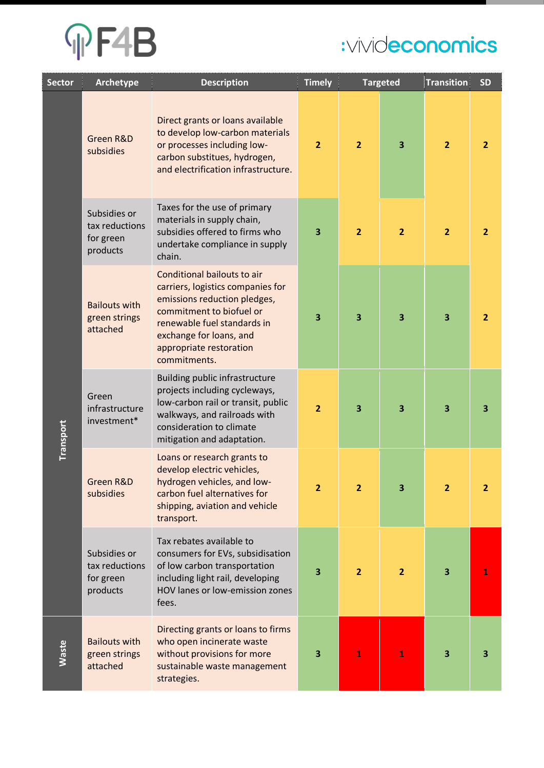

| <b>Sector</b> | Archetype                                               | <b>Description</b>                                                                                                                                                                                                                | <b>Timely</b>  | <b>Targeted</b>         |                         | <b>Transition</b> | <b>SD</b>      |
|---------------|---------------------------------------------------------|-----------------------------------------------------------------------------------------------------------------------------------------------------------------------------------------------------------------------------------|----------------|-------------------------|-------------------------|-------------------|----------------|
|               | Green R&D<br>subsidies                                  | Direct grants or loans available<br>to develop low-carbon materials<br>or processes including low-<br>carbon substitues, hydrogen,<br>and electrification infrastructure.                                                         | $\overline{2}$ | $\overline{2}$          | $\overline{\mathbf{3}}$ | $\overline{2}$    | $\overline{2}$ |
|               | Subsidies or<br>tax reductions<br>for green<br>products | Taxes for the use of primary<br>materials in supply chain,<br>subsidies offered to firms who<br>undertake compliance in supply<br>chain.                                                                                          | 3              | $\overline{2}$          | $\overline{2}$          | $\overline{2}$    | $\overline{2}$ |
|               | <b>Bailouts with</b><br>green strings<br>attached       | Conditional bailouts to air<br>carriers, logistics companies for<br>emissions reduction pledges,<br>commitment to biofuel or<br>renewable fuel standards in<br>exchange for loans, and<br>appropriate restoration<br>commitments. | 3              | 3                       | 3                       | 3                 | $\overline{2}$ |
| Transport     | Green<br>infrastructure<br>investment*                  | Building public infrastructure<br>projects including cycleways,<br>low-carbon rail or transit, public<br>walkways, and railroads with<br>consideration to climate<br>mitigation and adaptation.                                   | $\overline{2}$ | $\overline{\mathbf{3}}$ | $\overline{\mathbf{3}}$ | 3                 | 3              |
|               | Green R&D<br>subsidies                                  | Loans or research grants to<br>develop electric vehicles,<br>hydrogen vehicles, and low-<br>carbon fuel alternatives for<br>shipping, aviation and vehicle<br>transport.                                                          | 2              | $\overline{2}$          | 3                       | $\overline{2}$    | 2              |
|               | Subsidies or<br>tax reductions<br>for green<br>products | Tax rebates available to<br>consumers for EVs, subsidisation<br>of low carbon transportation<br>including light rail, developing<br>HOV lanes or low-emission zones<br>fees.                                                      | 3              | $\overline{2}$          | $\overline{2}$          | 3                 | 1              |
| <b>Waste</b>  | <b>Bailouts with</b><br>green strings<br>attached       | Directing grants or loans to firms<br>who open incinerate waste<br>without provisions for more<br>sustainable waste management<br>strategies.                                                                                     | 3              | 1                       | 1                       | 3                 | 3              |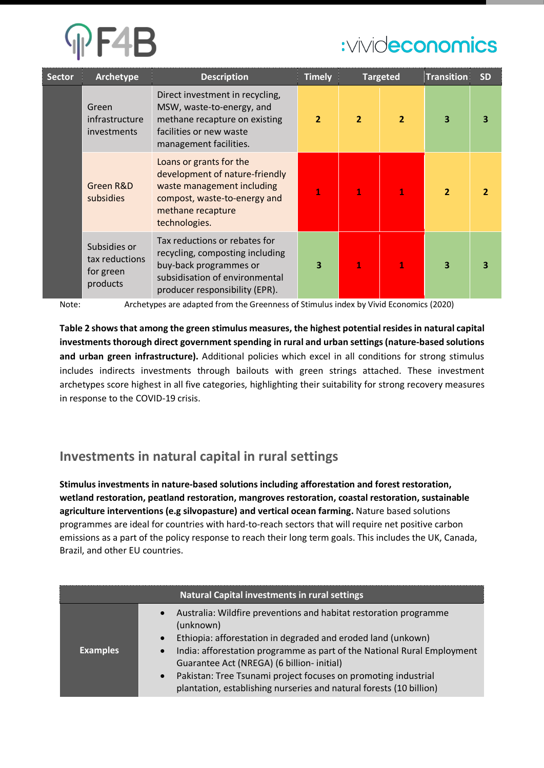| <b>Sector</b> | Archetype                                               | <b>Description</b>                                                                                                                                             | <b>Timely</b>  |                | <b>Targeted</b> | Transition     | <b>SD</b>      |
|---------------|---------------------------------------------------------|----------------------------------------------------------------------------------------------------------------------------------------------------------------|----------------|----------------|-----------------|----------------|----------------|
|               | Green<br>infrastructure<br>investments                  | Direct investment in recycling,<br>MSW, waste-to-energy, and<br>methane recapture on existing<br>facilities or new waste<br>management facilities.             | $\overline{2}$ | $\overline{2}$ | $\overline{2}$  | 3              | 3              |
|               | Green R&D<br>subsidies                                  | Loans or grants for the<br>development of nature-friendly<br>waste management including<br>compost, waste-to-energy and<br>methane recapture<br>technologies.  | $\mathbf{1}$   | T              | 1               | $\overline{2}$ | $\overline{2}$ |
|               | Subsidies or<br>tax reductions<br>for green<br>products | Tax reductions or rebates for<br>recycling, composting including<br>buy-back programmes or<br>subsidisation of environmental<br>producer responsibility (EPR). | 3              | 1              | 1               | 3              | 3              |

Note: Archetypes are adapted from the Greenness of Stimulus index by Vivid Economics (2020)

**Table 2 shows that among the green stimulus measures, the highest potential resides in natural capital investments thorough direct government spending in rural and urban settings (nature-based solutions and urban green infrastructure).** Additional policies which excel in all conditions for strong stimulus includes indirects investments through bailouts with green strings attached. These investment archetypes score highest in all five categories, highlighting their suitability for strong recovery measures in response to the COVID-19 crisis.

### **Investments in natural capital in rural settings**

**Stimulus investments in nature-based solutions including afforestation and forest restoration, wetland restoration, peatland restoration, mangroves restoration, coastal restoration, sustainable agriculture interventions (e.g silvopasture) and vertical ocean farming.** Nature based solutions programmes are ideal for countries with hard-to-reach sectors that will require net positive carbon emissions as a part of the policy response to reach their long term goals. This includes the UK, Canada, Brazil, and other EU countries.

|                 | Natural Capital investments in rural settings                                                                                                                                                                                                                                                                                                                                                                                                                        |
|-----------------|----------------------------------------------------------------------------------------------------------------------------------------------------------------------------------------------------------------------------------------------------------------------------------------------------------------------------------------------------------------------------------------------------------------------------------------------------------------------|
| <b>Examples</b> | Australia: Wildfire preventions and habitat restoration programme<br>$\bullet$<br>(unknown)<br>Ethiopia: afforestation in degraded and eroded land (unkown)<br>$\bullet$<br>India: afforestation programme as part of the National Rural Employment<br>$\bullet$<br>Guarantee Act (NREGA) (6 billion- initial)<br>Pakistan: Tree Tsunami project focuses on promoting industrial<br>$\bullet$<br>plantation, establishing nurseries and natural forests (10 billion) |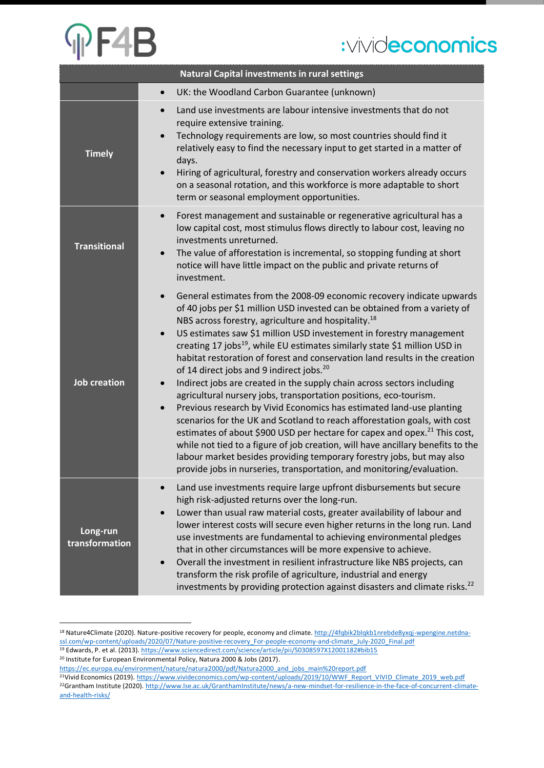# **OF4B**

# :vivideconomics

|                            | <b>Natural Capital investments in rural settings</b>                                                                                                                                                                                                                                                                                                                                                                                                                                                                                                                                                                                                                                                                                                                                                                                                                                                                                                                                                                                                                                                                                                                                                                |
|----------------------------|---------------------------------------------------------------------------------------------------------------------------------------------------------------------------------------------------------------------------------------------------------------------------------------------------------------------------------------------------------------------------------------------------------------------------------------------------------------------------------------------------------------------------------------------------------------------------------------------------------------------------------------------------------------------------------------------------------------------------------------------------------------------------------------------------------------------------------------------------------------------------------------------------------------------------------------------------------------------------------------------------------------------------------------------------------------------------------------------------------------------------------------------------------------------------------------------------------------------|
|                            | UK: the Woodland Carbon Guarantee (unknown)<br>$\bullet$                                                                                                                                                                                                                                                                                                                                                                                                                                                                                                                                                                                                                                                                                                                                                                                                                                                                                                                                                                                                                                                                                                                                                            |
| <b>Timely</b>              | Land use investments are labour intensive investments that do not<br>$\bullet$<br>require extensive training.<br>Technology requirements are low, so most countries should find it<br>$\bullet$<br>relatively easy to find the necessary input to get started in a matter of<br>days.<br>Hiring of agricultural, forestry and conservation workers already occurs<br>$\bullet$<br>on a seasonal rotation, and this workforce is more adaptable to short<br>term or seasonal employment opportunities.                                                                                                                                                                                                                                                                                                                                                                                                                                                                                                                                                                                                                                                                                                               |
| <b>Transitional</b>        | Forest management and sustainable or regenerative agricultural has a<br>$\bullet$<br>low capital cost, most stimulus flows directly to labour cost, leaving no<br>investments unreturned.<br>The value of afforestation is incremental, so stopping funding at short<br>$\bullet$<br>notice will have little impact on the public and private returns of<br>investment.                                                                                                                                                                                                                                                                                                                                                                                                                                                                                                                                                                                                                                                                                                                                                                                                                                             |
| <b>Job creation</b>        | General estimates from the 2008-09 economic recovery indicate upwards<br>$\bullet$<br>of 40 jobs per \$1 million USD invested can be obtained from a variety of<br>NBS across forestry, agriculture and hospitality. <sup>18</sup><br>US estimates saw \$1 million USD investement in forestry management<br>$\bullet$<br>creating 17 jobs <sup>19</sup> , while EU estimates similarly state \$1 million USD in<br>habitat restoration of forest and conservation land results in the creation<br>of 14 direct jobs and 9 indirect jobs. <sup>20</sup><br>Indirect jobs are created in the supply chain across sectors including<br>$\bullet$<br>agricultural nursery jobs, transportation positions, eco-tourism.<br>Previous research by Vivid Economics has estimated land-use planting<br>$\bullet$<br>scenarios for the UK and Scotland to reach afforestation goals, with cost<br>estimates of about \$900 USD per hectare for capex and opex. <sup>21</sup> This cost,<br>while not tied to a figure of job creation, will have ancillary benefits to the<br>labour market besides providing temporary forestry jobs, but may also<br>provide jobs in nurseries, transportation, and monitoring/evaluation. |
| Long-run<br>transformation | Land use investments require large upfront disbursements but secure<br>high risk-adjusted returns over the long-run.<br>Lower than usual raw material costs, greater availability of labour and<br>lower interest costs will secure even higher returns in the long run. Land<br>use investments are fundamental to achieving environmental pledges<br>that in other circumstances will be more expensive to achieve.<br>Overall the investment in resilient infrastructure like NBS projects, can<br>$\bullet$<br>transform the risk profile of agriculture, industrial and energy<br>investments by providing protection against disasters and climate risks. <sup>22</sup>                                                                                                                                                                                                                                                                                                                                                                                                                                                                                                                                       |

<sup>&</sup>lt;sup>18</sup> Nature4Climate (2020). Nature-positive recovery for people, economy and climate[. http://4fqbik2blqkb1nrebde8yxqj-wpengine.netdna](http://4fqbik2blqkb1nrebde8yxqj-wpengine.netdna-ssl.com/wp-content/uploads/2020/07/Nature-positive-recovery_For-people-economy-and-climate_July-2020_Final.pdf)[ssl.com/wp-content/uploads/2020/07/Nature-positive-recovery\\_For-people-economy-and-climate\\_July-2020\\_Final.pdf](http://4fqbik2blqkb1nrebde8yxqj-wpengine.netdna-ssl.com/wp-content/uploads/2020/07/Nature-positive-recovery_For-people-economy-and-climate_July-2020_Final.pdf) <sup>19</sup> Edwards, P. et al. (2013)[. https://www.sciencedirect.com/science/article/pii/S0308597X12001182#bib15](https://www.sciencedirect.com/science/article/pii/S0308597X12001182#bib15)

<sup>20</sup> Institute for European Environmental Policy, Natura 2000 & Jobs (2017).

[https://ec.europa.eu/environment/nature/natura2000/pdf/Natura2000\\_and\\_jobs\\_main%20report.pdf](https://ec.europa.eu/environment/nature/natura2000/pdf/Natura2000_and_jobs_main%20report.pdf)

<sup>&</sup>lt;sup>21</sup>Vivid Economics (2019)[. https://www.vivideconomics.com/wp-content/uploads/2019/10/WWF\\_Report\\_VIVID\\_Climate\\_2019\\_web.pdf](https://www.vivideconomics.com/wp-content/uploads/2019/10/WWF_Report_VIVID_Climate_2019_web.pdf) <sup>22</sup>Grantham Institute (2020)[. http://www.lse.ac.uk/GranthamInstitute/news/a-new-mindset-for-resilience-in-the-face-of-concurrent-climate](http://www.lse.ac.uk/GranthamInstitute/news/a-new-mindset-for-resilience-in-the-face-of-concurrent-climate-and-health-risks/)[and-health-risks/](http://www.lse.ac.uk/GranthamInstitute/news/a-new-mindset-for-resilience-in-the-face-of-concurrent-climate-and-health-risks/)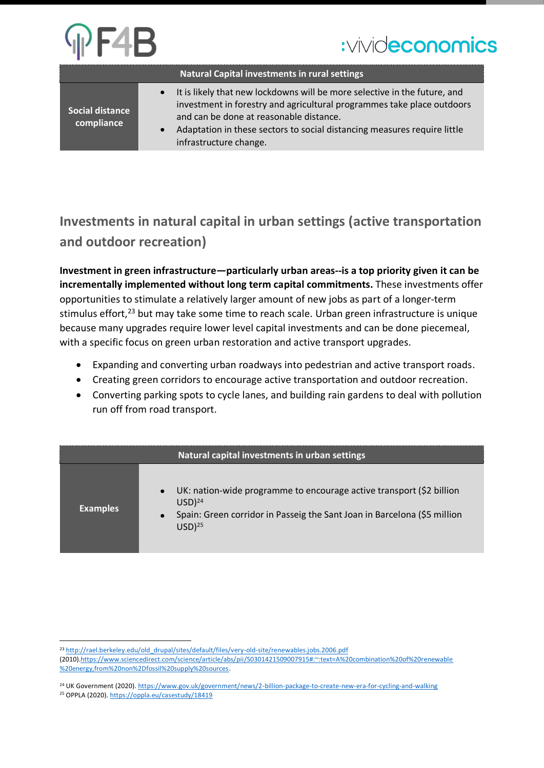|                                      | <b>Natural Capital investments in rural settings</b>                                                                                                                                                                                                                                                 |
|--------------------------------------|------------------------------------------------------------------------------------------------------------------------------------------------------------------------------------------------------------------------------------------------------------------------------------------------------|
| <b>Social distance</b><br>compliance | It is likely that new lockdowns will be more selective in the future, and<br>investment in forestry and agricultural programmes take place outdoors<br>and can be done at reasonable distance.<br>Adaptation in these sectors to social distancing measures require little<br>infrastructure change. |

## **Investments in natural capital in urban settings (active transportation and outdoor recreation)**

**Investment in green infrastructure—particularly urban areas--is a top priority given it can be incrementally implemented without long term capital commitments.** These investments offer opportunities to stimulate a relatively larger amount of new jobs as part of a longer-term stimulus effort,<sup>23</sup> but may take some time to reach scale. Urban green infrastructure is unique because many upgrades require lower level capital investments and can be done piecemeal, with a specific focus on green urban restoration and active transport upgrades.

- Expanding and converting urban roadways into pedestrian and active transport roads.
- Creating green corridors to encourage active transportation and outdoor recreation.
- Converting parking spots to cycle lanes, and building rain gardens to deal with pollution run off from road transport.

|                 | Natural capital investments in urban settings                                                                                                                                                                   |
|-----------------|-----------------------------------------------------------------------------------------------------------------------------------------------------------------------------------------------------------------|
| <b>Examples</b> | UK: nation-wide programme to encourage active transport (\$2 billion<br>$\bullet$<br>$USD)^{24}$<br>Spain: Green corridor in Passeig the Sant Joan in Barcelona (\$5 million<br>$\bullet$<br>USD) <sup>25</sup> |

<sup>&</sup>lt;sup>23</sup> [http://rael.berkeley.edu/old\\_drupal/sites/default/files/very-old-site/renewables.jobs.2006.pdf](http://rael.berkeley.edu/old_drupal/sites/default/files/very-old-site/renewables.jobs.2006.pdf)

<sup>(2010</sup>[\).https://www.sciencedirect.com/science/article/abs/pii/S0301421509007915#:~:text=A%20combination%20of%20renewable](https://www.sciencedirect.com/science/article/abs/pii/S0301421509007915#:~:text=A%20combination%20of%20renewable %20energy,from%20non%2Dfossil%20supply%20sources)  [%20energy,from%20non%2Dfossil%20supply%20sources.](https://www.sciencedirect.com/science/article/abs/pii/S0301421509007915#:~:text=A%20combination%20of%20renewable %20energy,from%20non%2Dfossil%20supply%20sources)

<sup>&</sup>lt;sup>24</sup> UK Government (2020)[. https://www.gov.uk/government/news/2-billion-package-to-create-new-era-for-cycling-and-walking](https://www.gov.uk/government/news/2-billion-package-to-create-new-era-for-cycling-and-walking)

<sup>25</sup> OPPLA (2020)[. https://oppla.eu/casestudy/18419](https://oppla.eu/casestudy/18419)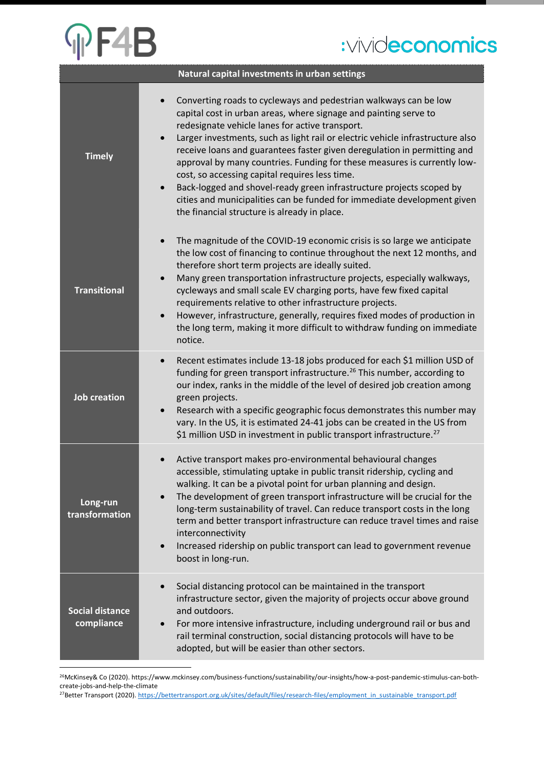# PF4B

# :vivideconomics

|                                      | Natural capital investments in urban settings                                                                                                                                                                                                                                                                                                                                                                                                                                                                                                                                                                                                                                                       |
|--------------------------------------|-----------------------------------------------------------------------------------------------------------------------------------------------------------------------------------------------------------------------------------------------------------------------------------------------------------------------------------------------------------------------------------------------------------------------------------------------------------------------------------------------------------------------------------------------------------------------------------------------------------------------------------------------------------------------------------------------------|
| <b>Timely</b>                        | Converting roads to cycleways and pedestrian walkways can be low<br>capital cost in urban areas, where signage and painting serve to<br>redesignate vehicle lanes for active transport.<br>Larger investments, such as light rail or electric vehicle infrastructure also<br>receive loans and guarantees faster given deregulation in permitting and<br>approval by many countries. Funding for these measures is currently low-<br>cost, so accessing capital requires less time.<br>Back-logged and shovel-ready green infrastructure projects scoped by<br>$\bullet$<br>cities and municipalities can be funded for immediate development given<br>the financial structure is already in place. |
| <b>Transitional</b>                  | The magnitude of the COVID-19 economic crisis is so large we anticipate<br>$\bullet$<br>the low cost of financing to continue throughout the next 12 months, and<br>therefore short term projects are ideally suited.<br>Many green transportation infrastructure projects, especially walkways,<br>$\bullet$<br>cycleways and small scale EV charging ports, have few fixed capital<br>requirements relative to other infrastructure projects.<br>However, infrastructure, generally, requires fixed modes of production in<br>$\bullet$<br>the long term, making it more difficult to withdraw funding on immediate<br>notice.                                                                    |
| <b>Job creation</b>                  | Recent estimates include 13-18 jobs produced for each \$1 million USD of<br>$\bullet$<br>funding for green transport infrastructure. <sup>26</sup> This number, according to<br>our index, ranks in the middle of the level of desired job creation among<br>green projects.<br>Research with a specific geographic focus demonstrates this number may<br>vary. In the US, it is estimated 24-41 jobs can be created in the US from<br>\$1 million USD in investment in public transport infrastructure. <sup>27</sup>                                                                                                                                                                              |
| Long-run<br>transformation           | Active transport makes pro-environmental behavioural changes<br>accessible, stimulating uptake in public transit ridership, cycling and<br>walking. It can be a pivotal point for urban planning and design.<br>The development of green transport infrastructure will be crucial for the<br>long-term sustainability of travel. Can reduce transport costs in the long<br>term and better transport infrastructure can reduce travel times and raise<br>interconnectivity<br>Increased ridership on public transport can lead to government revenue<br>$\bullet$<br>boost in long-run.                                                                                                             |
| <b>Social distance</b><br>compliance | Social distancing protocol can be maintained in the transport<br>$\bullet$<br>infrastructure sector, given the majority of projects occur above ground<br>and outdoors.<br>For more intensive infrastructure, including underground rail or bus and<br>rail terminal construction, social distancing protocols will have to be<br>adopted, but will be easier than other sectors.                                                                                                                                                                                                                                                                                                                   |

26McKinsey& Co (2020). https://www.mckinsey.com/business-functions/sustainability/our-insights/how-a-post-pandemic-stimulus-can-bothcreate-jobs-and-help-the-climate

27Better Transport (2020)[. https://bettertransport.org.uk/sites/default/files/research-files/employment\\_in\\_sustainable\\_transport.pdf](https://bettertransport.org.uk/sites/default/files/research-files/employment_in_sustainable_transport.pdf)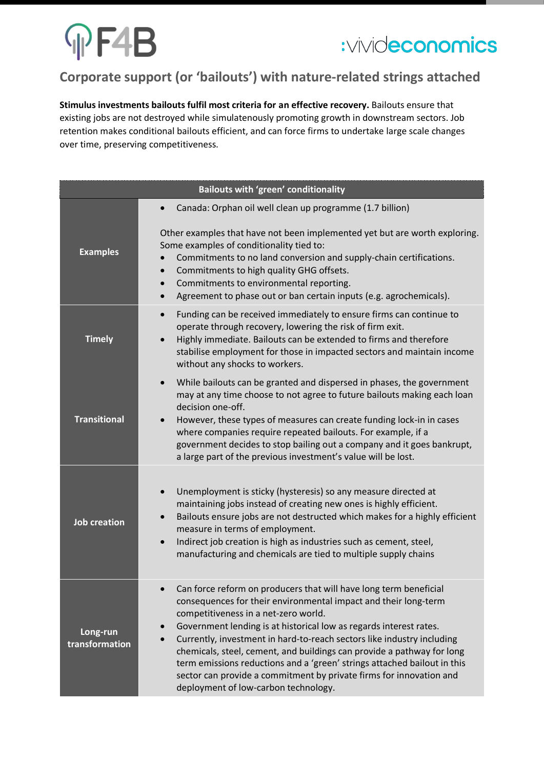# $\Psi$ F4B



## **Corporate support (or 'bailouts') with nature-related strings attached**

**Stimulus investments bailouts fulfil most criteria for an effective recovery.** Bailouts ensure that existing jobs are not destroyed while simulatenously promoting growth in downstream sectors. Job retention makes conditional bailouts efficient, and can force firms to undertake large scale changes over time, preserving competitiveness.

|                            | <b>Bailouts with 'green' conditionality</b>                                                                                                                                                                                                                                                                                                                                                                                                                                                                                                                                                                                 |
|----------------------------|-----------------------------------------------------------------------------------------------------------------------------------------------------------------------------------------------------------------------------------------------------------------------------------------------------------------------------------------------------------------------------------------------------------------------------------------------------------------------------------------------------------------------------------------------------------------------------------------------------------------------------|
|                            | Canada: Orphan oil well clean up programme (1.7 billion)                                                                                                                                                                                                                                                                                                                                                                                                                                                                                                                                                                    |
| <b>Examples</b>            | Other examples that have not been implemented yet but are worth exploring.<br>Some examples of conditionality tied to:<br>Commitments to no land conversion and supply-chain certifications.<br>Commitments to high quality GHG offsets.<br>$\bullet$<br>Commitments to environmental reporting.<br>$\bullet$<br>Agreement to phase out or ban certain inputs (e.g. agrochemicals).<br>$\bullet$                                                                                                                                                                                                                            |
| <b>Timely</b>              | Funding can be received immediately to ensure firms can continue to<br>$\bullet$<br>operate through recovery, lowering the risk of firm exit.<br>Highly immediate. Bailouts can be extended to firms and therefore<br>stabilise employment for those in impacted sectors and maintain income<br>without any shocks to workers.                                                                                                                                                                                                                                                                                              |
| <b>Transitional</b>        | While bailouts can be granted and dispersed in phases, the government<br>$\bullet$<br>may at any time choose to not agree to future bailouts making each loan<br>decision one-off.<br>However, these types of measures can create funding lock-in in cases<br>$\bullet$<br>where companies require repeated bailouts. For example, if a<br>government decides to stop bailing out a company and it goes bankrupt,<br>a large part of the previous investment's value will be lost.                                                                                                                                          |
| <b>Job creation</b>        | Unemployment is sticky (hysteresis) so any measure directed at<br>maintaining jobs instead of creating new ones is highly efficient.<br>Bailouts ensure jobs are not destructed which makes for a highly efficient<br>$\bullet$<br>measure in terms of employment.<br>Indirect job creation is high as industries such as cement, steel,<br>$\bullet$<br>manufacturing and chemicals are tied to multiple supply chains                                                                                                                                                                                                     |
| Long-run<br>transformation | Can force reform on producers that will have long term beneficial<br>consequences for their environmental impact and their long-term<br>competitiveness in a net-zero world.<br>Government lending is at historical low as regards interest rates.<br>$\bullet$<br>Currently, investment in hard-to-reach sectors like industry including<br>$\bullet$<br>chemicals, steel, cement, and buildings can provide a pathway for long<br>term emissions reductions and a 'green' strings attached bailout in this<br>sector can provide a commitment by private firms for innovation and<br>deployment of low-carbon technology. |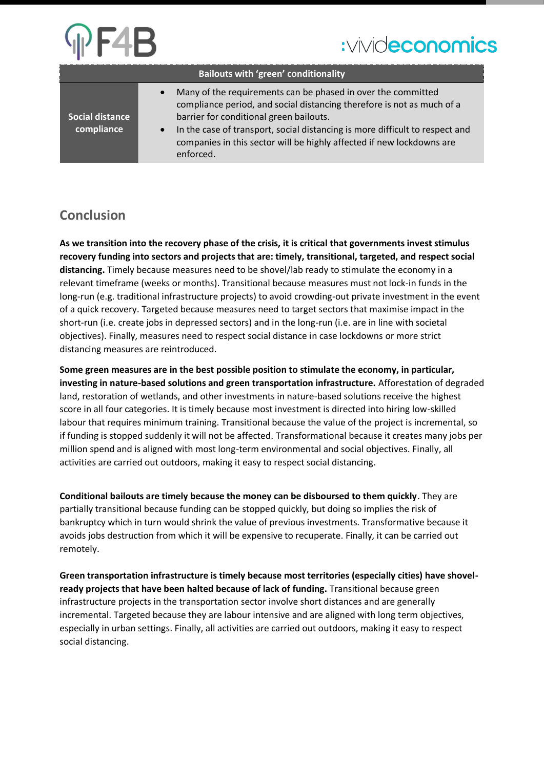|                               | <b>Bailouts with 'green' conditionality</b>                                                                                                                                                                                                                                                                                                                          |
|-------------------------------|----------------------------------------------------------------------------------------------------------------------------------------------------------------------------------------------------------------------------------------------------------------------------------------------------------------------------------------------------------------------|
| Social distance<br>compliance | Many of the requirements can be phased in over the committed<br>$\bullet$<br>compliance period, and social distancing therefore is not as much of a<br>barrier for conditional green bailouts.<br>In the case of transport, social distancing is more difficult to respect and<br>companies in this sector will be highly affected if new lockdowns are<br>enforced. |

### **Conclusion**

**As we transition into the recovery phase of the crisis, it is critical that governments invest stimulus recovery funding into sectors and projects that are: timely, transitional, targeted, and respect social distancing.** Timely because measures need to be shovel/lab ready to stimulate the economy in a relevant timeframe (weeks or months). Transitional because measures must not lock-in funds in the long-run (e.g. traditional infrastructure projects) to avoid crowding-out private investment in the event of a quick recovery. Targeted because measures need to target sectors that maximise impact in the short-run (i.e. create jobs in depressed sectors) and in the long-run (i.e. are in line with societal objectives). Finally, measures need to respect social distance in case lockdowns or more strict distancing measures are reintroduced.

**Some green measures are in the best possible position to stimulate the economy, in particular, investing in nature-based solutions and green transportation infrastructure.** Afforestation of degraded land, restoration of wetlands, and other investments in nature-based solutions receive the highest score in all four categories. It is timely because most investment is directed into hiring low-skilled labour that requires minimum training. Transitional because the value of the project is incremental, so if funding is stopped suddenly it will not be affected. Transformational because it creates many jobs per million spend and is aligned with most long-term environmental and social objectives. Finally, all activities are carried out outdoors, making it easy to respect social distancing.

**Conditional bailouts are timely because the money can be disboursed to them quickly**. They are partially transitional because funding can be stopped quickly, but doing so implies the risk of bankruptcy which in turn would shrink the value of previous investments. Transformative because it avoids jobs destruction from which it will be expensive to recuperate. Finally, it can be carried out remotely.

**Green transportation infrastructure is timely because most territories (especially cities) have shovelready projects that have been halted because of lack of funding.** Transitional because green infrastructure projects in the transportation sector involve short distances and are generally incremental. Targeted because they are labour intensive and are aligned with long term objectives, especially in urban settings. Finally, all activities are carried out outdoors, making it easy to respect social distancing.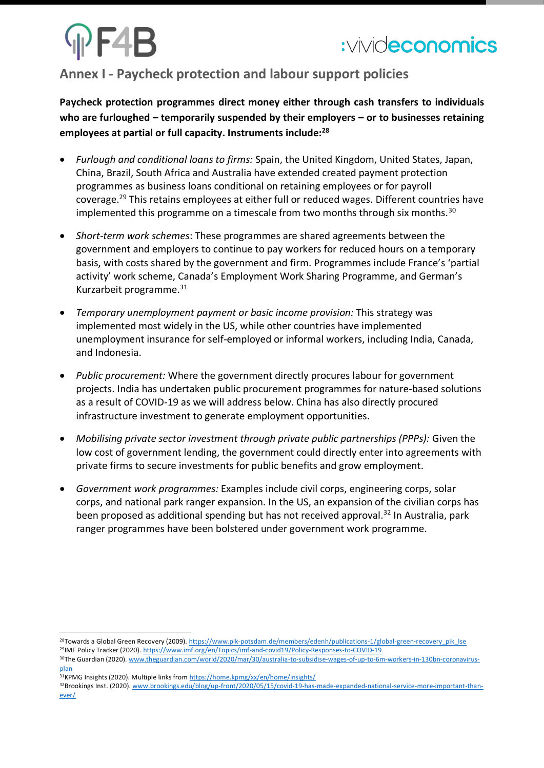# **PF4B**

### **Annex I - Paycheck protection and labour support policies**

**Paycheck protection programmes direct money either through cash transfers to individuals who are furloughed – temporarily suspended by their employers – or to businesses retaining employees at partial or full capacity. Instruments include:<sup>28</sup>**

- *Furlough and conditional loans to firms:* Spain, the United Kingdom, United States, Japan, China, Brazil, South Africa and Australia have extended created payment protection programmes as business loans conditional on retaining employees or for payroll coverage.<sup>29</sup> This retains employees at either full or reduced wages. Different countries have implemented this programme on a timescale from two months through six months.<sup>30</sup>
- *Short-term work schemes*: These programmes are shared agreements between the government and employers to continue to pay workers for reduced hours on a temporary basis, with costs shared by the government and firm. Programmes include France's 'partial activity' work scheme, Canada's Employment Work Sharing Programme, and German's Kurzarbeit programme. 31
- *Temporary unemployment payment or basic income provision:* This strategy was implemented most widely in the US, while other countries have implemented unemployment insurance for self-employed or informal workers, including India, Canada, and Indonesia.
- *Public procurement:* Where the government directly procures labour for government projects. India has undertaken public procurement programmes for nature-based solutions as a result of COVID-19 as we will address below. China has also directly procured infrastructure investment to generate employment opportunities.
- *Mobilising private sector investment through private public partnerships (PPPs):* Given the low cost of government lending, the government could directly enter into agreements with private firms to secure investments for public benefits and grow employment.
- *Government work programmes:* Examples include civil corps, engineering corps, solar corps, and national park ranger expansion. In the US, an expansion of the civilian corps has been proposed as additional spending but has not received approval.<sup>32</sup> In Australia, park ranger programmes have been bolstered under government work programme.

<sup>&</sup>lt;sup>28</sup>Towards a Global Green Recovery (2009)[. https://www.pik-potsdam.de/members/edenh/publications-1/global-green-recovery\\_pik\\_lse](https://www.pik-potsdam.de/members/edenh/publications-1/global-green-recovery_pik_lse) <sup>29</sup>IMF Policy Tracker (2020)[. https://www.imf.org/en/Topics/imf-and-covid19/Policy-Responses-to-COVID-19](https://www.imf.org/en/Topics/imf-and-covid19/Policy-Responses-to-COVID-19)

<sup>30</sup>The Guardian (2020). [www.theguardian.com/world/2020/mar/30/australia-to-subsidise-wages-of-up-to-6m-workers-in-130bn-coronavirus](https://www.theguardian.com/world/2020/mar/30/australia-to-subsidise-wages-of-up-to-6m-workers-in-130bn-coronavirus-plan)[plan](https://www.theguardian.com/world/2020/mar/30/australia-to-subsidise-wages-of-up-to-6m-workers-in-130bn-coronavirus-plan)

<sup>31</sup>KPMG Insights (2020). Multiple links fro[m https://home.kpmg/xx/en/home/insights/](https://home.kpmg/xx/en/home/insights/)

<sup>&</sup>lt;sup>32</sup>Brookings Inst. (2020)[. www.brookings.edu/blog/up-front/2020/05/15/covid-19-has-made-expanded-national-service-more-important-than](https://www.brookings.edu/blog/up-front/2020/05/15/covid-19-has-made-expanded-national-service-more-important-than-ever/)[ever/](https://www.brookings.edu/blog/up-front/2020/05/15/covid-19-has-made-expanded-national-service-more-important-than-ever/)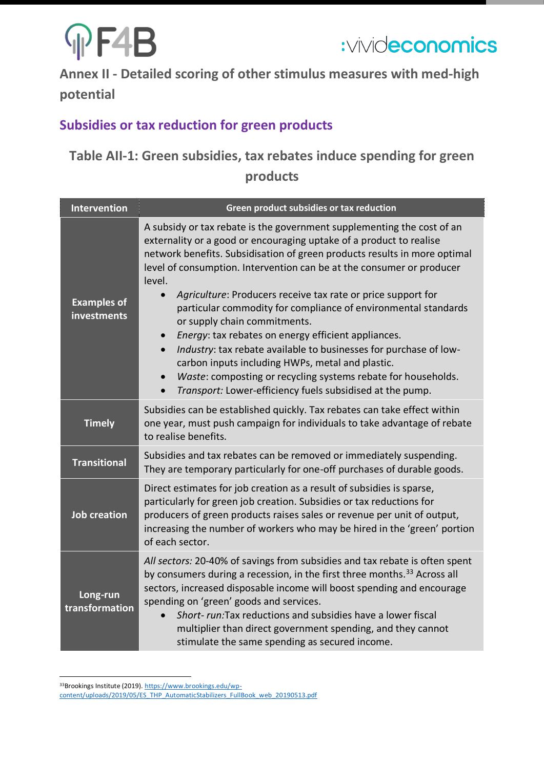# **OF4B**



**Annex II - Detailed scoring of other stimulus measures with med-high potential**

### **Subsidies or tax reduction for green products**

## **Table AII-1: Green subsidies, tax rebates induce spending for green products**

| <b>Intervention</b>               | Green product subsidies or tax reduction                                                                                                                                                                                                                                                                                                                                                                                                                                                                                                                                                                                                                                                                                                                                                                                                          |
|-----------------------------------|---------------------------------------------------------------------------------------------------------------------------------------------------------------------------------------------------------------------------------------------------------------------------------------------------------------------------------------------------------------------------------------------------------------------------------------------------------------------------------------------------------------------------------------------------------------------------------------------------------------------------------------------------------------------------------------------------------------------------------------------------------------------------------------------------------------------------------------------------|
| <b>Examples of</b><br>investments | A subsidy or tax rebate is the government supplementing the cost of an<br>externality or a good or encouraging uptake of a product to realise<br>network benefits. Subsidisation of green products results in more optimal<br>level of consumption. Intervention can be at the consumer or producer<br>level.<br>Agriculture: Producers receive tax rate or price support for<br>particular commodity for compliance of environmental standards<br>or supply chain commitments.<br>Energy: tax rebates on energy efficient appliances.<br>$\bullet$<br>Industry: tax rebate available to businesses for purchase of low-<br>$\bullet$<br>carbon inputs including HWPs, metal and plastic.<br>Waste: composting or recycling systems rebate for households.<br>$\bullet$<br>Transport: Lower-efficiency fuels subsidised at the pump.<br>$\bullet$ |
| <b>Timely</b>                     | Subsidies can be established quickly. Tax rebates can take effect within<br>one year, must push campaign for individuals to take advantage of rebate<br>to realise benefits.                                                                                                                                                                                                                                                                                                                                                                                                                                                                                                                                                                                                                                                                      |
| <b>Transitional</b>               | Subsidies and tax rebates can be removed or immediately suspending.<br>They are temporary particularly for one-off purchases of durable goods.                                                                                                                                                                                                                                                                                                                                                                                                                                                                                                                                                                                                                                                                                                    |
| <b>Job creation</b>               | Direct estimates for job creation as a result of subsidies is sparse,<br>particularly for green job creation. Subsidies or tax reductions for<br>producers of green products raises sales or revenue per unit of output,<br>increasing the number of workers who may be hired in the 'green' portion<br>of each sector.                                                                                                                                                                                                                                                                                                                                                                                                                                                                                                                           |
| Long-run<br>transformation        | All sectors: 20-40% of savings from subsidies and tax rebate is often spent<br>by consumers during a recession, in the first three months. <sup>33</sup> Across all<br>sectors, increased disposable income will boost spending and encourage<br>spending on 'green' goods and services.<br>Short- run: Tax reductions and subsidies have a lower fiscal<br>multiplier than direct government spending, and they cannot<br>stimulate the same spending as secured income.                                                                                                                                                                                                                                                                                                                                                                         |

33Brookings Institute (2019)[. https://www.brookings.edu/wp](https://www.brookings.edu/wp-content/uploads/2019/05/ES_THP_AutomaticStabilizers_FullBook_web_20190513.pdf)[content/uploads/2019/05/ES\\_THP\\_AutomaticStabilizers\\_FullBook\\_web\\_20190513.pdf](https://www.brookings.edu/wp-content/uploads/2019/05/ES_THP_AutomaticStabilizers_FullBook_web_20190513.pdf)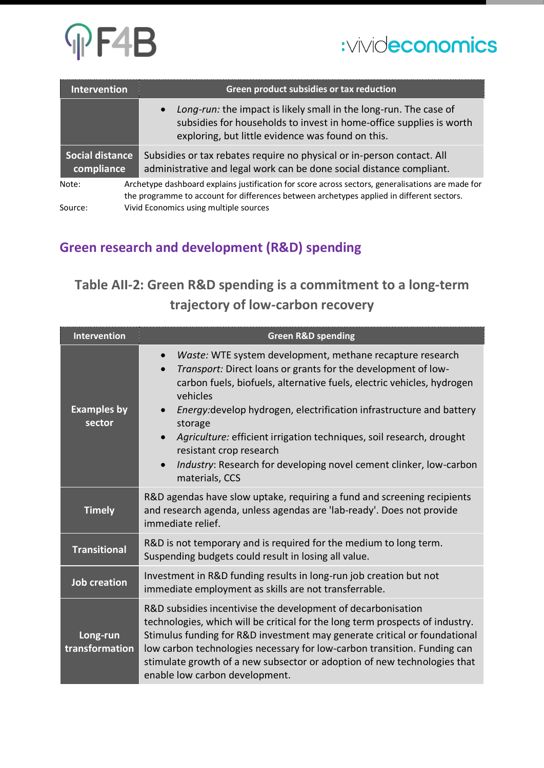

| Intervention                         | Green product subsidies or tax reduction                                                                                                                                                                   |
|--------------------------------------|------------------------------------------------------------------------------------------------------------------------------------------------------------------------------------------------------------|
|                                      | Long-run: the impact is likely small in the long-run. The case of<br>$\bullet$<br>subsidies for households to invest in home-office supplies is worth<br>exploring, but little evidence was found on this. |
| <b>Social distance</b><br>compliance | Subsidies or tax rebates require no physical or in-person contact. All<br>administrative and legal work can be done social distance compliant.                                                             |
| Note:                                | Archetype dashboard explains justification for score across sectors, generalisations are made for<br>the programme to account for differences between archetypes applied in different sectors.             |
| Source:                              | Vivid Economics using multiple sources                                                                                                                                                                     |

### **Green research and development (R&D) spending**

## **Table AII-2: Green R&D spending is a commitment to a long-term trajectory of low-carbon recovery**

| Intervention                 | <b>Green R&amp;D spending</b>                                                                                                                                                                                                                                                                                                                                                                                                                                                                                                                      |
|------------------------------|----------------------------------------------------------------------------------------------------------------------------------------------------------------------------------------------------------------------------------------------------------------------------------------------------------------------------------------------------------------------------------------------------------------------------------------------------------------------------------------------------------------------------------------------------|
| <b>Examples by</b><br>sector | Waste: WTE system development, methane recapture research<br>Transport: Direct loans or grants for the development of low-<br>$\bullet$<br>carbon fuels, biofuels, alternative fuels, electric vehicles, hydrogen<br>vehicles<br>Energy: develop hydrogen, electrification infrastructure and battery<br>$\bullet$<br>storage<br>Agriculture: efficient irrigation techniques, soil research, drought<br>$\bullet$<br>resistant crop research<br>Industry: Research for developing novel cement clinker, low-carbon<br>$\bullet$<br>materials, CCS |
| <b>Timely</b>                | R&D agendas have slow uptake, requiring a fund and screening recipients<br>and research agenda, unless agendas are 'lab-ready'. Does not provide<br>immediate relief.                                                                                                                                                                                                                                                                                                                                                                              |
| <b>Transitional</b>          | R&D is not temporary and is required for the medium to long term.<br>Suspending budgets could result in losing all value.                                                                                                                                                                                                                                                                                                                                                                                                                          |
| <b>Job creation</b>          | Investment in R&D funding results in long-run job creation but not<br>immediate employment as skills are not transferrable.                                                                                                                                                                                                                                                                                                                                                                                                                        |
| Long-run<br>transformation   | R&D subsidies incentivise the development of decarbonisation<br>technologies, which will be critical for the long term prospects of industry.<br>Stimulus funding for R&D investment may generate critical or foundational<br>low carbon technologies necessary for low-carbon transition. Funding can<br>stimulate growth of a new subsector or adoption of new technologies that<br>enable low carbon development.                                                                                                                               |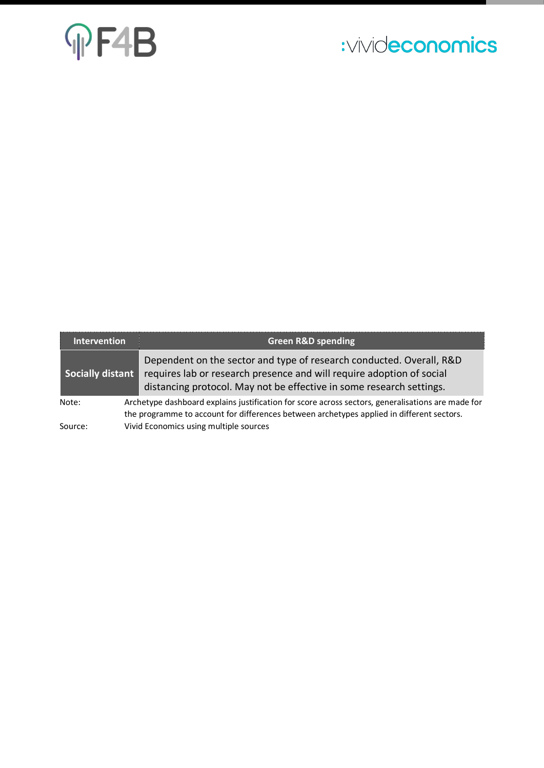# **MF4B**

# :vivideconomics

| Intervention     | <b>Green R&amp;D spending</b>                                                                                                                                                                                                            |
|------------------|------------------------------------------------------------------------------------------------------------------------------------------------------------------------------------------------------------------------------------------|
| Socially distant | Dependent on the sector and type of research conducted. Overall, R&D<br>requires lab or research presence and will require adoption of social<br>distancing protocol. May not be effective in some research settings.                    |
| Note:<br>Source: | Archetype dashboard explains justification for score across sectors, generalisations are made for<br>the programme to account for differences between archetypes applied in different sectors.<br>Vivid Economics using multiple sources |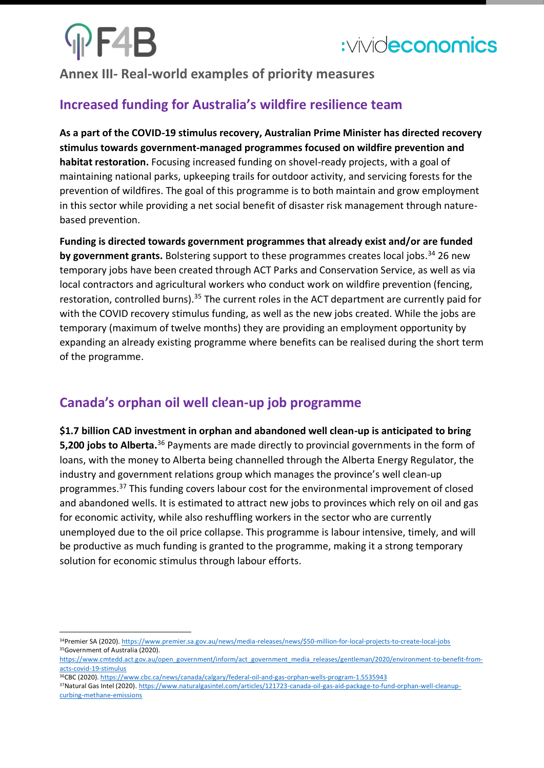# PF4B

## **Annex III- Real-world examples of priority measures**

## **Increased funding for Australia's wildfire resilience team**

**As a part of the COVID-19 stimulus recovery, Australian Prime Minister has directed recovery stimulus towards government-managed programmes focused on wildfire prevention and habitat restoration.** Focusing increased funding on shovel-ready projects, with a goal of maintaining national parks, upkeeping trails for outdoor activity, and servicing forests for the prevention of wildfires. The goal of this programme is to both maintain and grow employment in this sector while providing a net social benefit of disaster risk management through naturebased prevention.

**Funding is directed towards government programmes that already exist and/or are funded by government grants.** Bolstering support to these programmes creates local jobs.<sup>34</sup> 26 new temporary jobs have been created through ACT Parks and Conservation Service, as well as via local contractors and agricultural workers who conduct work on wildfire prevention (fencing, restoration, controlled burns).<sup>35</sup> The current roles in the ACT department are currently paid for with the COVID recovery stimulus funding, as well as the new jobs created. While the jobs are temporary (maximum of twelve months) they are providing an employment opportunity by expanding an already existing programme where benefits can be realised during the short term of the programme.

## **Canada's orphan oil well clean-up job programme**

**\$1.7 billion CAD investment in orphan and abandoned well clean-up is anticipated to bring 5,200 jobs to Alberta.**<sup>36</sup> Payments are made directly to provincial governments in the form of loans, with the money to Alberta being channelled through the Alberta Energy Regulator, the industry and government relations group which manages the province's well clean-up programmes.<sup>37</sup> This funding covers labour cost for the environmental improvement of closed and abandoned wells. It is estimated to attract new jobs to provinces which rely on oil and gas for economic activity, while also reshuffling workers in the sector who are currently unemployed due to the oil price collapse. This programme is labour intensive, timely, and will be productive as much funding is granted to the programme, making it a strong temporary solution for economic stimulus through labour efforts.

<sup>34</sup>Premier SA (2020)[. https://www.premier.sa.gov.au/news/media-releases/news/\\$50-million-for-local-projects-to-create-local-jobs](https://www.premier.sa.gov.au/news/media-releases/news/$50-million-for-local-projects-to-create-local-jobs) 35Government of Australia (2020).

[https://www.cmtedd.act.gov.au/open\\_government/inform/act\\_government\\_media\\_releases/gentleman/2020/environment-to-benefit-from](https://www.cmtedd.act.gov.au/open_government/inform/act_government_media_releases/gentleman/2020/environment-to-benefit-from-acts-covid-19-stimulus)[acts-covid-19-stimulus](https://www.cmtedd.act.gov.au/open_government/inform/act_government_media_releases/gentleman/2020/environment-to-benefit-from-acts-covid-19-stimulus)

<sup>36</sup>CBC (2020)[. https://www.cbc.ca/news/canada/calgary/federal-oil-and-gas-orphan-wells-program-1.5535943](https://www.cbc.ca/news/canada/calgary/federal-oil-and-gas-orphan-wells-program-1.5535943)

<sup>37</sup>Natural Gas Intel (2020)[. https://www.naturalgasintel.com/articles/121723-canada-oil-gas-aid-package-to-fund-orphan-well-cleanup](https://www.naturalgasintel.com/articles/121723-canada-oil-gas-aid-package-to-fund-orphan-well-cleanup-curbing-methane-emissions)[curbing-methane-emissions](https://www.naturalgasintel.com/articles/121723-canada-oil-gas-aid-package-to-fund-orphan-well-cleanup-curbing-methane-emissions)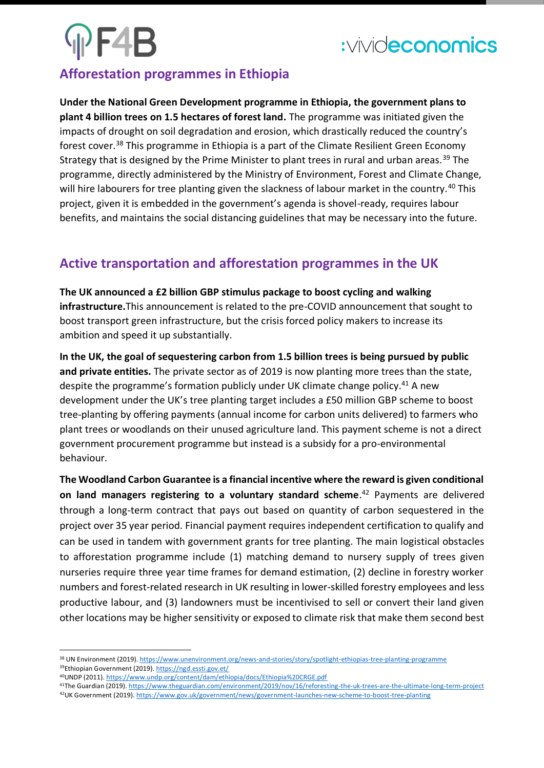# PF4B

# :vivideconomics

### **Afforestation programmes in Ethiopia**

**Under the National Green Development programme in Ethiopia, the government plans to plant 4 billion trees on 1.5 hectares of forest land.** The programme was initiated given the impacts of drought on soil degradation and erosion, which drastically reduced the country's forest cover.<sup>38</sup> This programme in Ethiopia is a part of the Climate Resilient Green Economy Strategy that is designed by the Prime Minister to plant trees in rural and urban areas.<sup>39</sup> The programme, directly administered by the Ministry of Environment, Forest and Climate Change, will hire labourers for tree planting given the slackness of labour market in the country.<sup>40</sup> This project, given it is embedded in the government's agenda is shovel-ready, requires labour benefits, and maintains the social distancing guidelines that may be necessary into the future.

### **Active transportation and afforestation programmes in the UK**

**The UK announced a £2 billion GBP stimulus package to boost cycling and walking infrastructure.**This announcement is related to the pre-COVID announcement that sought to boost transport green infrastructure, but the crisis forced policy makers to increase its ambition and speed it up substantially.

**In the UK, the goal of sequestering carbon from 1.5 billion trees is being pursued by public and private entities.** The private sector as of 2019 is now planting more trees than the state, despite the programme's formation publicly under UK climate change policy.<sup>41</sup> A new development under the UK's tree planting target includes a £50 million GBP scheme to boost tree-planting by offering payments (annual income for carbon units delivered) to farmers who plant trees or woodlands on their unused agriculture land. This payment scheme is not a direct government procurement programme but instead is a subsidy for a pro-environmental behaviour.

**The Woodland Carbon Guarantee is a financial incentive where the reward is given conditional on land managers registering to a voluntary standard scheme**. <sup>42</sup> Payments are delivered through a long-term contract that pays out based on quantity of carbon sequestered in the project over 35 year period. Financial payment requires independent certification to qualify and can be used in tandem with government grants for tree planting. The main logistical obstacles to afforestation programme include (1) matching demand to nursery supply of trees given nurseries require three year time frames for demand estimation, (2) decline in forestry worker numbers and forest-related research in UK resulting in lower-skilled forestry employees and less productive labour, and (3) landowners must be incentivised to sell or convert their land given other locations may be higher sensitivity or exposed to climate risk that make them second best

<sup>41</sup>The Guardian (2019)[. https://www.theguardian.com/environment/2019/nov/16/reforesting-the-uk-trees-are-the-ultimate-long-term-project](https://www.theguardian.com/environment/2019/nov/16/reforesting-the-uk-trees-are-the-ultimate-long-term-project)

42UK Government (2019)[. https://www.gov.uk/government/news/government-launches-new-scheme-to-boost-tree-planting](https://www.gov.uk/government/news/government-launches-new-scheme-to-boost-tree-planting)

<sup>38</sup> UN Environment (2019)[. https://www.unenvironment.org/news-and-stories/story/spotlight-ethiopias-tree-planting-programme](https://www.unenvironment.org/news-and-stories/story/spotlight-ethiopias-tree-planting-programme) <sup>39</sup>Ethiopian Government (2019)[. https://ngd.essti.gov.et/](https://ngd.essti.gov.et/)

<sup>40</sup>UNDP (2011)[. https://www.undp.org/content/dam/ethiopia/docs/Ethiopia%20CRGE.pdf](https://www.undp.org/content/dam/ethiopia/docs/Ethiopia%20CRGE.pdf)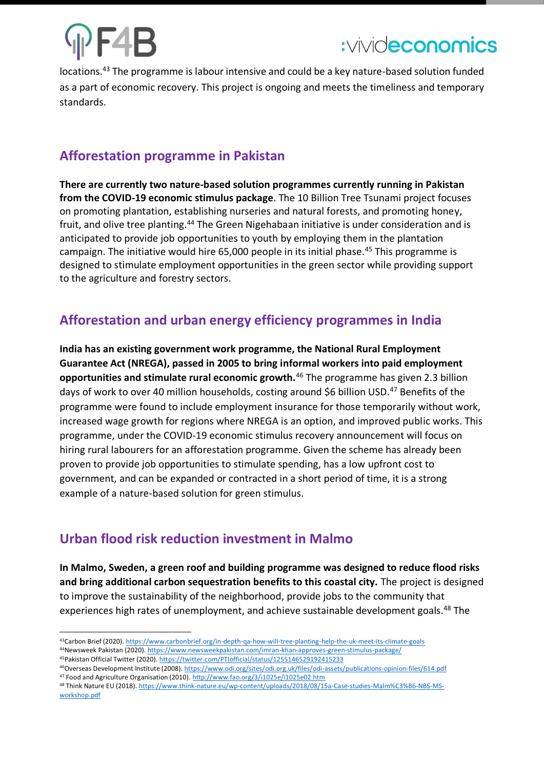

locations.<sup>43</sup> The programme is labour intensive and could be a key nature-based solution funded as a part of economic recovery. This project is ongoing and meets the timeliness and temporary standards.

### **Afforestation programme in Pakistan**

**There are currently two nature-based solution programmes currently running in Pakistan from the COVID-19 economic stimulus package**. The 10 Billion Tree Tsunami project focuses on promoting plantation, establishing nurseries and natural forests, and promoting honey, fruit, and olive tree planting.<sup>44</sup> The Green Nigehabaan initiative is under consideration and is anticipated to provide job opportunities to youth by employing them in the plantation campaign. The initiative would hire 65,000 people in its initial phase.<sup>45</sup> This programme is designed to stimulate employment opportunities in the green sector while providing support to the agriculture and forestry sectors.

### **Afforestation and urban energy efficiency programmes in India**

**India has an existing government work programme, the National Rural Employment Guarantee Act (NREGA), passed in 2005 to bring informal workers into paid employment opportunities and stimulate rural economic growth.**<sup>46</sup> The programme has given 2.3 billion days of work to over 40 million households, costing around \$6 billion USD.<sup>47</sup> Benefits of the programme were found to include employment insurance for those temporarily without work, increased wage growth for regions where NREGA is an option, and improved public works. This programme, under the COVID-19 economic stimulus recovery announcement will focus on hiring rural labourers for an afforestation programme. Given the scheme has already been proven to provide job opportunities to stimulate spending, has a low upfront cost to government, and can be expanded or contracted in a short period of time, it is a strong example of a nature-based solution for green stimulus.

### **Urban flood risk reduction investment in Malmo**

**In Malmo, Sweden, a green roof and building programme was designed to reduce flood risks and bring additional carbon sequestration benefits to this coastal city.** The project is designed to improve the sustainability of the neighborhood, provide jobs to the community that experiences high rates of unemployment, and achieve sustainable development goals.<sup>48</sup> The

<sup>43</sup>Carbon Brief (2020)[. https://www.carbonbrief.org/in-depth-qa-how-will-tree-planting-help-the-uk-meet-its-climate-goals](https://www.carbonbrief.org/in-depth-qa-how-will-tree-planting-help-the-uk-meet-its-climate-goals) <sup>44</sup>Newsweek Pakistan (2020). <https://www.newsweekpakistan.com/imran-khan-approves-green-stimulus-package/>

<sup>45</sup>Pakistan Official Twitter (2020)[. https://twitter.com/PTIofficial/status/1255146529192415233](https://twitter.com/PTIofficial/status/1255146529192415233)

<sup>46</sup>Overseas Development Institute (2008).<https://www.odi.org/sites/odi.org.uk/files/odi-assets/publications-opinion-files/614.pdf> <sup>47</sup> Food and Agriculture Organisation (2010)[. http://www.fao.org/3/i1025e/i1025e02.htm](http://www.fao.org/3/i1025e/i1025e02.htm)

<sup>48</sup> Think Nature EU (2018). [https://www.think-nature.eu/wp-content/uploads/2018/08/15a-Case-studies-Malm%C3%B6-NBS-MS](https://www.think-nature.eu/wp-content/uploads/2018/08/15a-Case-studies-Malm%C3%B6-NBS-MS-workshop.pdf)[workshop.pdf](https://www.think-nature.eu/wp-content/uploads/2018/08/15a-Case-studies-Malm%C3%B6-NBS-MS-workshop.pdf)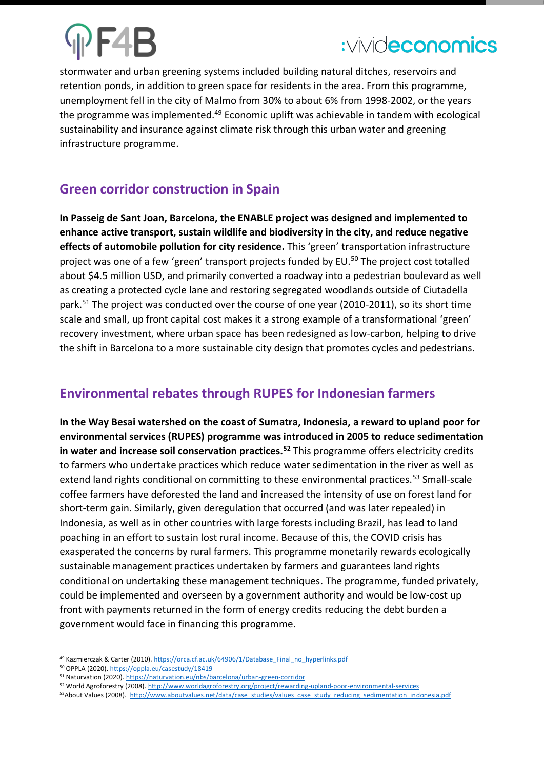stormwater and urban greening systems included building natural ditches, reservoirs and retention ponds, in addition to green space for residents in the area. From this programme, unemployment fell in the city of Malmo from 30% to about 6% from 1998-2002, or the years the programme was implemented.<sup>49</sup> Economic uplift was achievable in tandem with ecological sustainability and insurance against climate risk through this urban water and greening infrastructure programme.

### **Green corridor construction in Spain**

**In Passeig de Sant Joan, Barcelona, the ENABLE project was designed and implemented to enhance active transport, sustain wildlife and biodiversity in the city, and reduce negative effects of automobile pollution for city residence.** This 'green' transportation infrastructure project was one of a few 'green' transport projects funded by EU.<sup>50</sup> The project cost totalled about \$4.5 million USD, and primarily converted a roadway into a pedestrian boulevard as well as creating a protected cycle lane and restoring segregated woodlands outside of Ciutadella park.<sup>51</sup> The project was conducted over the course of one year (2010-2011), so its short time scale and small, up front capital cost makes it a strong example of a transformational 'green' recovery investment, where urban space has been redesigned as low-carbon, helping to drive the shift in Barcelona to a more sustainable city design that promotes cycles and pedestrians.

## **Environmental rebates through RUPES for Indonesian farmers**

**In the Way Besai watershed on the coast of Sumatra, Indonesia, a reward to upland poor for environmental services (RUPES) programme was introduced in 2005 to reduce sedimentation in water and increase soil conservation practices.<sup>52</sup>** This programme offers electricity credits to farmers who undertake practices which reduce water sedimentation in the river as well as extend land rights conditional on committing to these environmental practices.<sup>53</sup> Small-scale coffee farmers have deforested the land and increased the intensity of use on forest land for short-term gain. Similarly, given deregulation that occurred (and was later repealed) in Indonesia, as well as in other countries with large forests including Brazil, has lead to land poaching in an effort to sustain lost rural income. Because of this, the COVID crisis has exasperated the concerns by rural farmers. This programme monetarily rewards ecologically sustainable management practices undertaken by farmers and guarantees land rights conditional on undertaking these management techniques. The programme, funded privately, could be implemented and overseen by a government authority and would be low-cost up front with payments returned in the form of energy credits reducing the debt burden a government would face in financing this programme.

<sup>49</sup> Kazmierczak & Carter (2010)[. https://orca.cf.ac.uk/64906/1/Database\\_Final\\_no\\_hyperlinks.pdf](https://orca.cf.ac.uk/64906/1/Database_Final_no_hyperlinks.pdf)

<sup>50</sup> OPPLA (2020)[. https://oppla.eu/casestudy/18419](https://oppla.eu/casestudy/18419)

<sup>51</sup> Naturvation (2020)[. https://naturvation.eu/nbs/barcelona/urban-green-corridor](https://naturvation.eu/nbs/barcelona/urban-green-corridor)

<sup>52</sup> World Agroforestry (2008)[. http://www.worldagroforestry.org/project/rewarding-upland-poor-environmental-services](http://www.worldagroforestry.org/project/rewarding-upland-poor-environmental-services)

<sup>53</sup>About Values (2008). [http://www.aboutvalues.net/data/case\\_studies/values\\_case\\_study\\_reducing\\_sedimentation\\_indonesia.pdf](http://www.aboutvalues.net/data/case_studies/values_case_study_reducing_sedimentation_indonesia.pdf)